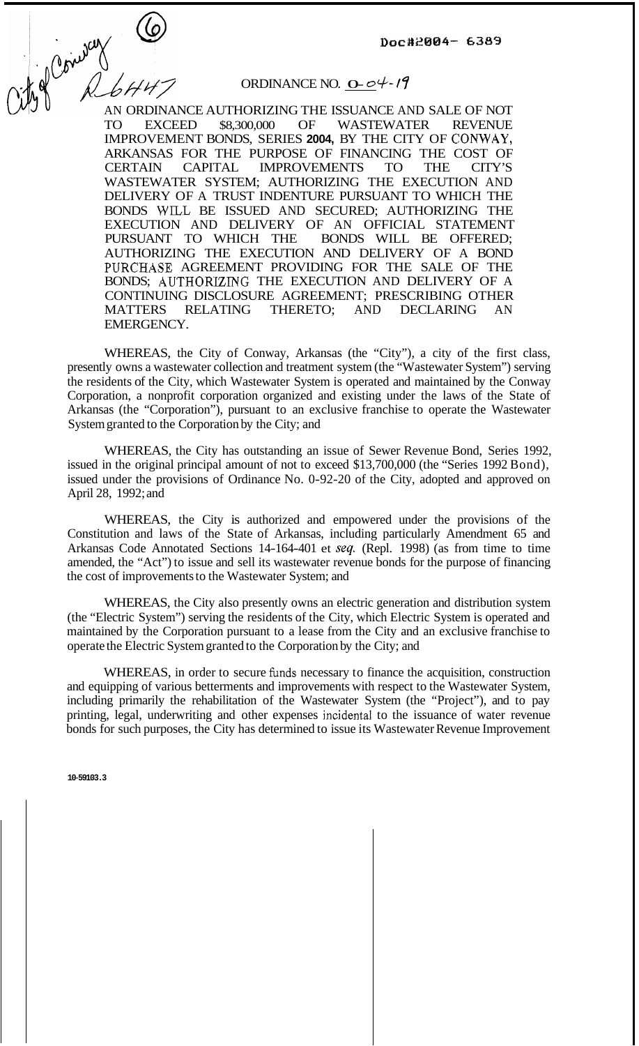$\text{Doc}*2004 - 6389$ <br>  $\text{Doc}*2004 - 6389$ <br>  $\text{Doc}*2004 - 6389$ <br>
AN ORDINANCE AUTHORIZING THE ISSUANCE AND SALE OF NOT

## ORDINANCE NO.  $O - \mathcal{O}$   $\varphi$  -  $\mathcal{O}$

TO EXCEED \$8,300,000 OF WASTEWATER REVENUE IMPROVEMENT BONDS, SERIES **2004,** BY THE CITY OF CONWAY, ARKANSAS FOR THE PURPOSE OF FINANCING THE COST OF CERTAIN CAPITAL IMPROVEMENTS TO THE CITY'S CERTAIN CAPITAL IMPROVEMENTS TO THE CITY'S WASTEWATER SYSTEM; AUTHORIZING THE EXECUTION AND DELIVERY OF A TRUST INDENTURE PURSUANT TO WHICH THE BONDS WILL BE ISSUED AND SECURED; AUTHORIZING THE EXECUTION AND DELIVERY OF AN OFFICIAL STATEMENT<br>PURSUANT TO WHICH THE BONDS WILL BE OFFERED; PURSUANT TO WHICH THE AUTHORIZING THE EXECUTION AND DELIVERY OF A BOND PURCHASE AGREEMENT PROVIDING FOR THE SALE OF THE BONDS; AUTHORIZING THE EXECUTION AND DELIVERY OF A CONTINUING DISCLOSURE AGREEMENT; PRESCRIBING OTHER MATTERS RELATING THERETO; AND DECLARING AN EMERGENCY.

WHEREAS, the City of Conway, Arkansas (the "City"), a city of the first class, presently owns a wastewater collection and treatment system (the "Wastewater System") serving the residents of the City, which Wastewater System is operated and maintained by the Conway Corporation, a nonprofit corporation organized and existing under the laws of the State of Arkansas (the "Corporation"), pursuant to an exclusive franchise to operate the Wastewater System granted to the Corporation by the City; and

WHEREAS, the City has outstanding an issue of Sewer Revenue Bond, Series 1992, issued in the original principal amount of not to exceed \$13,700,000 (the "Series 1992 Bond), issued under the provisions of Ordinance No. 0-92-20 of the City, adopted and approved on April 28, 1992; and

WHEREAS, the City is authorized and empowered under the provisions of the Constitution and laws of the State of Arkansas, including particularly Amendment 65 and Arkansas Code Annotated Sections 14-164-401 et *seq.* (Repl. 1998) (as from time to time amended, the "Act") to issue and sell its wastewater revenue bonds for the purpose of financing the cost of improvements to the Wastewater System; and

WHEREAS, the City also presently owns an electric generation and distribution system (the "Electric System") serving the residents of the City, which Electric System is operated and maintained by the Corporation pursuant to a lease from the City and an exclusive franchise to operate the Electric System granted to the Corporation by the City; and

WHEREAS, in order to secure funds necessary to finance the acquisition, construction and equipping of various betterments and improvements with respect to the Wastewater System, including primarily the rehabilitation of the Wastewater System (the "Project"), and to pay printing, legal, underwriting and other expenses incidental to the issuance of water revenue bonds for such purposes, the City has determined to issue its Wastewater Revenue Improvement

**10-59103.3**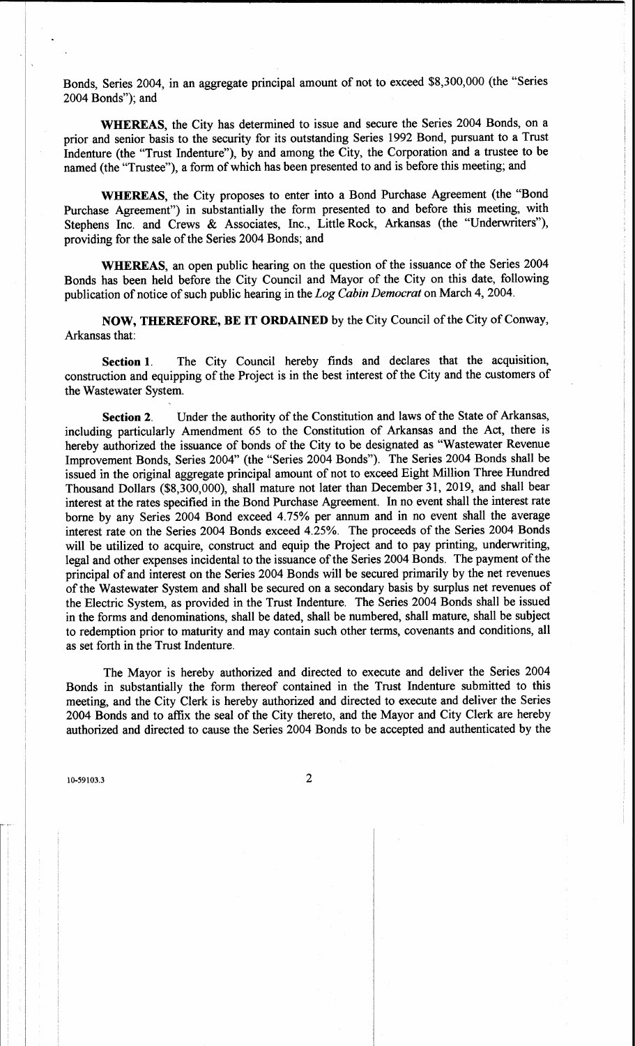Bonds, Series 2004, in an aggregate principal amount of not to exceed \$8,300,000 (the "Series 2004 Bonds"); and

**WHEREAS**, the City has determined to issue and secure the Series 2004 Bonds, on a prior and senior basis to the security for its outstanding Series 1992 Bond, pursuant to a Trust Indenture (the "Trust Indenture"), by and among the City, the Corporation and a trustee to be named (the "Trustee"), a form of which has been presented to and is before this meeting; and

**WHEREAS**, the City proposes to enter into a Bond Purchase Agreement (the "Bond" Purchase Agreement") in substantially the form presented to and before this meeting, with Stephens Inc. and Crews & Associates, Inc., Little Rock, Arkansas (the "Underwriters"), providing for the sale of the Series 2004 Bonds; and

**WHEREAS**, an open public hearing on the question of the issuance of the Series 2004 Bonds has been held before the City Council and Mayor of the City on this date, following publication of notice of such public hearing in the Log Cabin Democrat on March 4, 2004.

**NOW, THEREFORE, BE IT ORDAINED** by the City Council of the City of Conway, Arkansas that:

The City Council hereby finds and declares that the acquisition, Section 1. construction and equipping of the Project is in the best interest of the City and the customers of the Wastewater System.

Under the authority of the Constitution and laws of the State of Arkansas, Section 2. including particularly Amendment 65 to the Constitution of Arkansas and the Act, there is hereby authorized the issuance of bonds of the City to be designated as "Wastewater Revenue Improvement Bonds, Series 2004" (the "Series 2004 Bonds"). The Series 2004 Bonds shall be issued in the original aggregate principal amount of not to exceed Eight Million Three Hundred Thousand Dollars (\$8,300,000), shall mature not later than December 31, 2019, and shall bear interest at the rates specified in the Bond Purchase Agreement. In no event shall the interest rate borne by any Series 2004 Bond exceed 4.75% per annum and in no event shall the average interest rate on the Series 2004 Bonds exceed 4.25%. The proceeds of the Series 2004 Bonds will be utilized to acquire, construct and equip the Project and to pay printing, underwriting, legal and other expenses incidental to the issuance of the Series 2004 Bonds. The payment of the principal of and interest on the Series 2004 Bonds will be secured primarily by the net revenues of the Wastewater System and shall be secured on a secondary basis by surplus net revenues of the Electric System, as provided in the Trust Indenture. The Series 2004 Bonds shall be issued in the forms and denominations, shall be dated, shall be numbered, shall mature, shall be subject to redemption prior to maturity and may contain such other terms, covenants and conditions, all as set forth in the Trust Indenture.

The Mayor is hereby authorized and directed to execute and deliver the Series 2004 Bonds in substantially the form thereof contained in the Trust Indenture submitted to this meeting, and the City Clerk is hereby authorized and directed to execute and deliver the Series 2004 Bonds and to affix the seal of the City thereto, and the Mayor and City Clerk are hereby authorized and directed to cause the Series 2004 Bonds to be accepted and authenticated by the

10-59103.3

 $\overline{2}$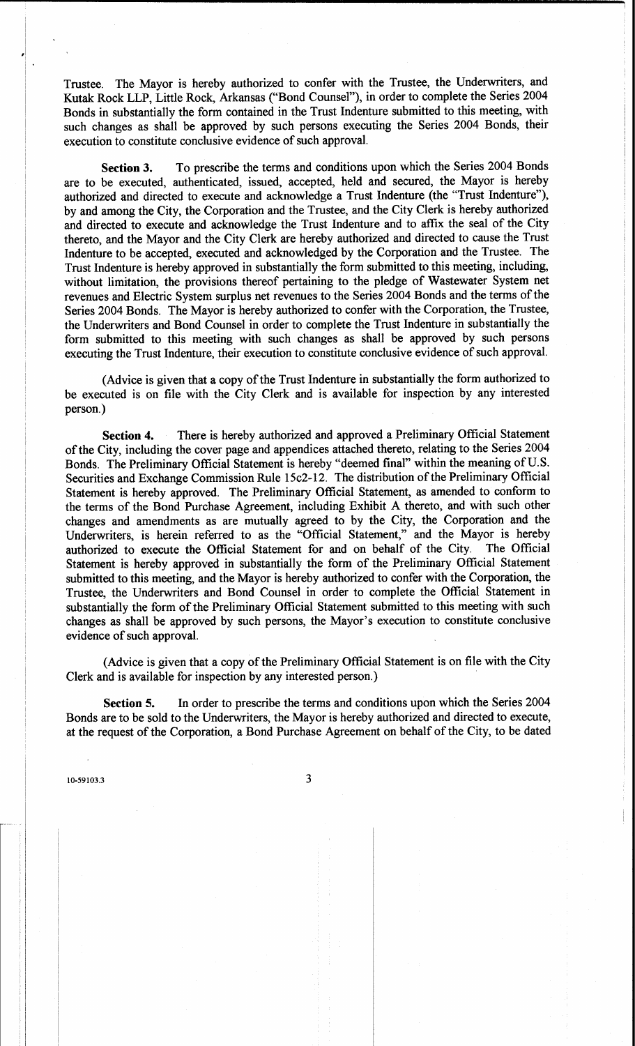The Mayor is hereby authorized to confer with the Trustee, the Underwriters, and Trustee. Kutak Rock LLP, Little Rock, Arkansas ("Bond Counsel"), in order to complete the Series 2004 Bonds in substantially the form contained in the Trust Indenture submitted to this meeting, with such changes as shall be approved by such persons executing the Series 2004 Bonds, their execution to constitute conclusive evidence of such approval.

To prescribe the terms and conditions upon which the Series 2004 Bonds **Section 3.** are to be executed, authenticated, issued, accepted, held and secured, the Mayor is hereby authorized and directed to execute and acknowledge a Trust Indenture (the "Trust Indenture"), by and among the City, the Corporation and the Trustee, and the City Clerk is hereby authorized and directed to execute and acknowledge the Trust Indenture and to affix the seal of the City thereto, and the Mayor and the City Clerk are hereby authorized and directed to cause the Trust Indenture to be accepted, executed and acknowledged by the Corporation and the Trustee. The Trust Indenture is hereby approved in substantially the form submitted to this meeting, including, without limitation, the provisions thereof pertaining to the pledge of Wastewater System net revenues and Electric System surplus net revenues to the Series 2004 Bonds and the terms of the Series 2004 Bonds. The Mayor is hereby authorized to confer with the Corporation, the Trustee, the Underwriters and Bond Counsel in order to complete the Trust Indenture in substantially the form submitted to this meeting with such changes as shall be approved by such persons executing the Trust Indenture, their execution to constitute conclusive evidence of such approval.

(Advice is given that a copy of the Trust Indenture in substantially the form authorized to be executed is on file with the City Clerk and is available for inspection by any interested person.)

There is hereby authorized and approved a Preliminary Official Statement Section 4. of the City, including the cover page and appendices attached thereto, relating to the Series 2004 Bonds. The Preliminary Official Statement is hereby "deemed final" within the meaning of U.S. Securities and Exchange Commission Rule 15c2-12. The distribution of the Preliminary Official Statement is hereby approved. The Preliminary Official Statement, as amended to conform to the terms of the Bond Purchase Agreement, including Exhibit A thereto, and with such other changes and amendments as are mutually agreed to by the City, the Corporation and the Underwriters, is herein referred to as the "Official Statement," and the Mayor is hereby authorized to execute the Official Statement for and on behalf of the City. The Official Statement is hereby approved in substantially the form of the Preliminary Official Statement submitted to this meeting, and the Mayor is hereby authorized to confer with the Corporation, the Trustee, the Underwriters and Bond Counsel in order to complete the Official Statement in substantially the form of the Preliminary Official Statement submitted to this meeting with such changes as shall be approved by such persons, the Mayor's execution to constitute conclusive evidence of such approval.

(Advice is given that a copy of the Preliminary Official Statement is on file with the City Clerk and is available for inspection by any interested person.)

In order to prescribe the terms and conditions upon which the Series 2004 Section 5. Bonds are to be sold to the Underwriters, the Mayor is hereby authorized and directed to execute, at the request of the Corporation, a Bond Purchase Agreement on behalf of the City, to be dated

10-59103.3

3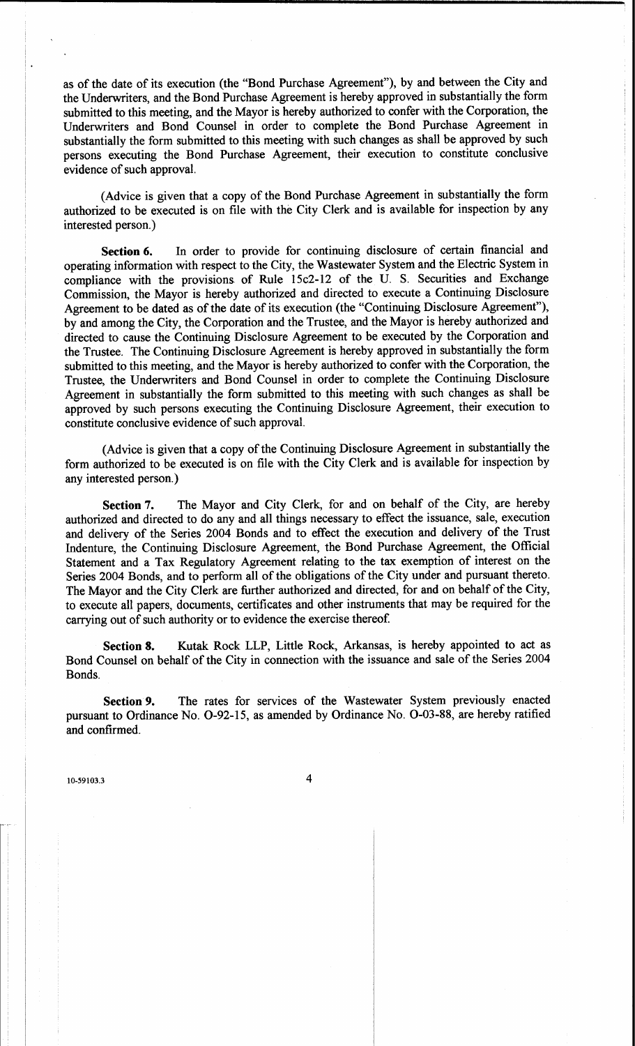as of the date of its execution (the "Bond Purchase Agreement"), by and between the City and the Underwriters, and the Bond Purchase Agreement is hereby approved in substantially the form submitted to this meeting, and the Mayor is hereby authorized to confer with the Corporation, the Underwriters and Bond Counsel in order to complete the Bond Purchase Agreement in substantially the form submitted to this meeting with such changes as shall be approved by such persons executing the Bond Purchase Agreement, their execution to constitute conclusive evidence of such approval.

(Advice is given that a copy of the Bond Purchase Agreement in substantially the form authorized to be executed is on file with the City Clerk and is available for inspection by any interested person.)

In order to provide for continuing disclosure of certain financial and Section 6. operating information with respect to the City, the Wastewater System and the Electric System in compliance with the provisions of Rule 15c2-12 of the U. S. Securities and Exchange Commission, the Mayor is hereby authorized and directed to execute a Continuing Disclosure Agreement to be dated as of the date of its execution (the "Continuing Disclosure Agreement"), by and among the City, the Corporation and the Trustee, and the Mayor is hereby authorized and directed to cause the Continuing Disclosure Agreement to be executed by the Corporation and the Trustee. The Continuing Disclosure Agreement is hereby approved in substantially the form submitted to this meeting, and the Mayor is hereby authorized to confer with the Corporation, the Trustee, the Underwriters and Bond Counsel in order to complete the Continuing Disclosure Agreement in substantially the form submitted to this meeting with such changes as shall be approved by such persons executing the Continuing Disclosure Agreement, their execution to constitute conclusive evidence of such approval.

(Advice is given that a copy of the Continuing Disclosure Agreement in substantially the form authorized to be executed is on file with the City Clerk and is available for inspection by any interested person.)

The Mayor and City Clerk, for and on behalf of the City, are hereby Section 7. authorized and directed to do any and all things necessary to effect the issuance, sale, execution and delivery of the Series 2004 Bonds and to effect the execution and delivery of the Trust Indenture, the Continuing Disclosure Agreement, the Bond Purchase Agreement, the Official Statement and a Tax Regulatory Agreement relating to the tax exemption of interest on the Series 2004 Bonds, and to perform all of the obligations of the City under and pursuant thereto. The Mayor and the City Clerk are further authorized and directed, for and on behalf of the City, to execute all papers, documents, certificates and other instruments that may be required for the carrying out of such authority or to evidence the exercise thereof.

Kutak Rock LLP, Little Rock, Arkansas, is hereby appointed to act as **Section 8.** Bond Counsel on behalf of the City in connection with the issuance and sale of the Series 2004 Bonds.

The rates for services of the Wastewater System previously enacted **Section 9.** pursuant to Ordinance No. O-92-15, as amended by Ordinance No. O-03-88, are hereby ratified and confirmed.

10-59103.3

4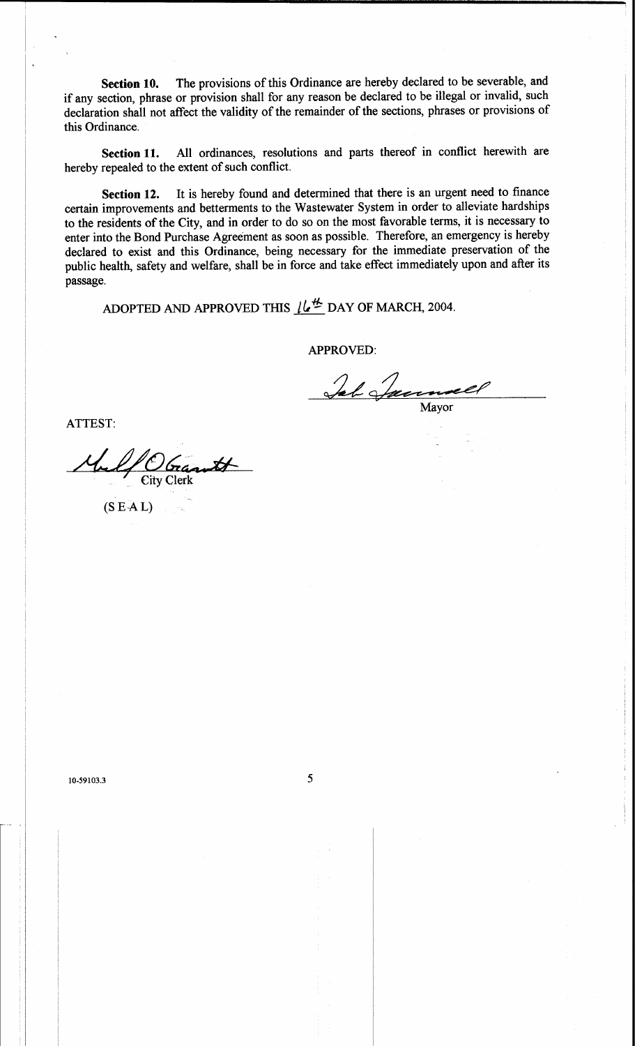The provisions of this Ordinance are hereby declared to be severable, and Section 10. if any section, phrase or provision shall for any reason be declared to be illegal or invalid, such declaration shall not affect the validity of the remainder of the sections, phrases or provisions of this Ordinance.

All ordinances, resolutions and parts thereof in conflict herewith are Section 11. hereby repealed to the extent of such conflict.

It is hereby found and determined that there is an urgent need to finance Section 12. certain improvements and betterments to the Wastewater System in order to alleviate hardships to the residents of the City, and in order to do so on the most favorable terms, it is necessary to enter into the Bond Purchase Agreement as soon as possible. Therefore, an emergency is hereby declared to exist and this Ordinance, being necessary for the immediate preservation of the public health, safety and welfare, shall be in force and take effect immediately upon and after its passage.

ADOPTED AND APPROVED THIS  $\mu^{\#}$  DAY OF MARCH, 2004.

**APPROVED:** 

Jab Jam Mayor

ATTEST:

rantt **City Clerk** 

 $(S E AL)$ 

10-59103.3

5